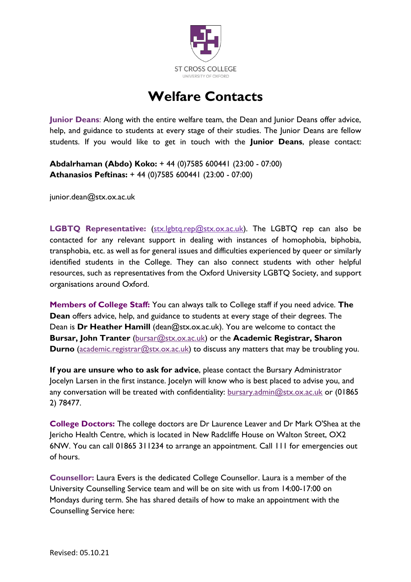

## **Welfare Contacts**

**Junior Deans**: Along with the entire welfare team, the Dean and Junior Deans offer advice, help, and guidance to students at every stage of their studies. The Junior Deans are fellow students. If you would like to get in touch with the **Junior Deans**, please contact:

**Abdalrhaman (Abdo) Koko:** + 44 (0)7585 600441 (23:00 - 07:00) **Athanasios Peftinas:** + 44 (0)7585 600441 (23:00 - 07:00)

junior.dean@stx.ox.ac.uk

LGBTQ Representative: [\(stx.lgbtq.rep@stx.ox.ac.uk\)](mailto:stx.lgbtq.rep@stx.ox.ac.uk). The LGBTQ rep can also be contacted for any relevant support in dealing with instances of homophobia, biphobia, transphobia, etc. as well as for general issues and difficulties experienced by queer or similarly identified students in the College. They can also connect students with other helpful resources, such as representatives from the Oxford University LGBTQ Society, and support organisations around Oxford.

**Members of College Staff:** You can always talk to College staff if you need advice. **The Dean** offers advice, help, and guidance to students at every stage of their degrees. The Dean is **Dr Heather Hamill** (dean@stx.ox.ac.uk). You are welcome to contact the **Bursar, John Tranter** [\(bursar@stx.ox.ac.uk\)](mailto:bursar@stx.ox.ac.uk) or the **Academic Registrar, Sharon Durno** [\(academic.registrar@stx.ox.ac.uk\)](mailto:academic.registrar@stx.ox.ac.uk) to discuss any matters that may be troubling you.

**If you are unsure who to ask for advice**, please contact the Bursary Administrator Jocelyn Larsen in the first instance. Jocelyn will know who is best placed to advise you, and any conversation will be treated with confidentiality: [bursary.admin@stx.ox.ac.uk](mailto:bursary.admin@stx.ox.ac.uk) or (01865 2) 78477.

**College Doctors:** The college doctors are Dr Laurence Leaver and Dr Mark O'Shea at the Jericho Health Centre, which is located in New Radcliffe House on Walton Street, OX2 6NW. You can call 01865 311234 to arrange an appointment. Call 111 for emergencies out of hours.

**Counsellor:** Laura Evers is the dedicated College Counsellor. Laura is a member of the University Counselling Service team and will be on site with us from 14:00-17:00 on Mondays during term. She has shared details of how to make an appointment with the Counselling Service here: